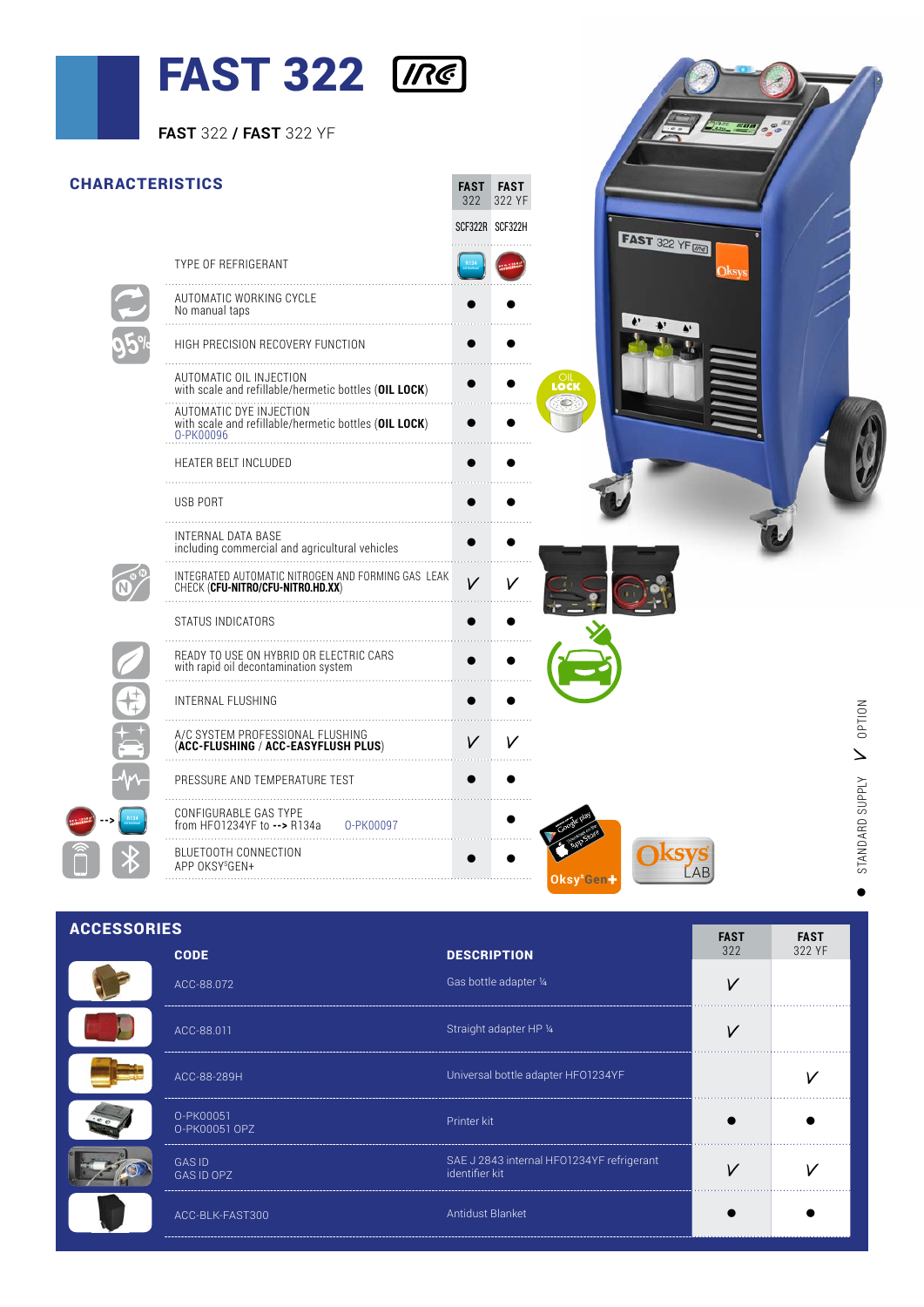## $TART 222$   $T22$

|                        | <b>FAST 322 Ine</b><br><b>FAST 322 / FAST 322 YF</b>                                          |                         |                        |                         |                 |
|------------------------|-----------------------------------------------------------------------------------------------|-------------------------|------------------------|-------------------------|-----------------|
| <b>CHARACTERISTICS</b> |                                                                                               | FAST FAST<br>322 322 YF |                        |                         |                 |
|                        | TYPE OF REFRIGERANT                                                                           | SCF322R SCF322H         |                        | <b>FAST</b> 322 YF (mg) |                 |
|                        | AUTOMATIC WORKING CYCLE<br>No manual taps                                                     |                         |                        |                         |                 |
|                        | HIGH PRECISION RECOVERY FUNCTION                                                              |                         |                        |                         |                 |
|                        | AUTOMATIC OIL INJECTION<br>with scale and refillable/hermetic bottles (OIL LOCK)              |                         | LOCK                   |                         |                 |
|                        | AUTOMATIC DYE INJECTION<br>with scale and refillable/hermetic bottles (OIL LOCK)<br>0-PK00096 |                         |                        |                         |                 |
|                        | HEATER BELT INCLUDED                                                                          |                         |                        |                         |                 |
|                        | USB PORT                                                                                      |                         |                        |                         |                 |
|                        | INTERNAL DATA BASE<br>including commercial and agricultural vehicles                          |                         |                        |                         |                 |
|                        | INTEGRATED AUTOMATIC NITROGEN AND FORMING GAS LEAK<br>CHECK (CFU-NITRO/CFU-NITRO.HD.XX)       | $\vee$                  |                        |                         |                 |
|                        | STATUS INDICATORS                                                                             |                         |                        |                         |                 |
|                        | READY TO USE ON HYBRID OR ELECTRIC CARS<br>with rapid oil decontamination system              |                         |                        |                         |                 |
|                        | INTERNAL FLUSHING                                                                             | $\bullet$               |                        |                         |                 |
|                        | A/C SYSTEM PROFESSIONAL FLUSHING<br>(ACC-FLUSHING / ACC-EASYFLUSH PLUS)                       | V<br>V                  |                        |                         | <b>NOILdO</b>   |
|                        | PRESSURE AND TEMPERATURE TEST                                                                 |                         |                        |                         |                 |
|                        | CONFIGURABLE GAS TYPE<br>from HF01234YF to --> R134a<br>0-PK00097                             |                         |                        |                         | STANDARD SUPPLY |
|                        | BLUETOOTH CONNECTION<br>APP OKSYSGEN+                                                         |                         | Oksy <sup>s</sup> Gen+ | <b>KSVS</b>             |                 |
|                        |                                                                                               |                         |                        |                         |                 |

ACCESSORIES **FAST FAST** 322 YF 322 CODE **DESCRIPTION** ACC-88.072 Gas bottle adapter ¼ View Construction of the Construction of the Construction of the View View View . . . . . . . . . . . . . . . ACC-88.011 Straight adapter HP ¼ View Constantinople Management Access of Management Access of View View View . . . . . . . . . . . . . . . . . . ACC-88-289H Universal bottle adapter HFO1234YF V CO-88-289H . . . . . . . . . . . . . . . . . . . . O-PK00051 Printer kit l later than the later than the later of the later  $\bullet$ O-PK00051 OPZ SAE J 2843 internal HFO1234YF refrigerant identifier kit V V GAS ID GAS ID OPZ . . . . . . . . . . . . . . . . . . . . . . . . . . . ACC-BLK-FAST300 Antidust Blanket l l